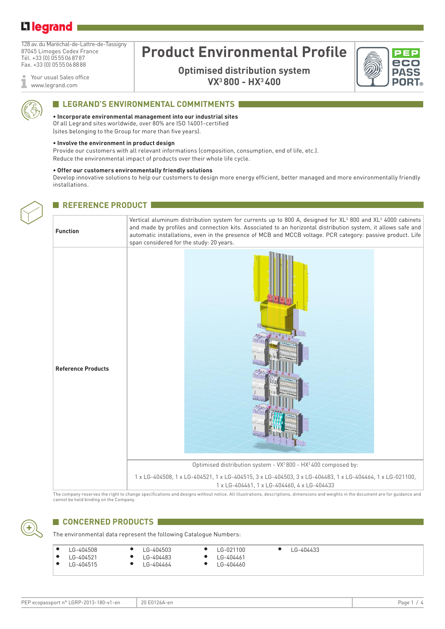## Li legrand

128 av. du Maréchal-de-Lattre-de-Tassigny 87045 Limoges Cedex France Tél. +33 (0) 0555068787 Fax. +33 (0) 0555068888

Your usual Sales office ī www.legrand.com

# **Product Environmental Profile**

**Optimised distribution system VX3 800 - HX3 400**



### **ELEGRAND'S ENVIRONMENTAL COMMITMENTS**

**• Incorporate environmental management into our industrial sites** Of all Legrand sites worldwide, over 80% are ISO 14001-certified

(sites belonging to the Group for more than five years).

#### **• Involve the environment in product design**

Provide our customers with all relevant informations (composition, consumption, end of life, etc.). Reduce the environmental impact of products over their whole life cycle.

#### **• Offer our customers environmentally friendly solutions**

Develop innovative solutions to help our customers to design more energy efficient, better managed and more environmentally friendly installations.



### **REFERENCE PRODUCT**

# **Function** Vertical aluminum distribution system for currents up to 800 A, designed for XL $^3$  800 and XL $^3$  4000 cabinets and made by profiles and connection kits. Associated to an horizontal distribution system, it allows safe and automatic installations, even in the presence of MCB and MCCB voltage. PCR category: passive product. Life span considered for the study: 20 years. **Reference Products** Optimised distribution system - VX3 800 - HX3 400 composed by: 1 x LG-404508, 1 x LG-404521, 1 x LG-404515, 3 x LG-404503, 3 x LG-404483, 1 x LG-404464, 1 x LG-021100, 1 x LG-404461, 1 x LG-404460, 4 x LG-404433

The company reserves the right to change specifications and designs without notice. All illustrations, descriptions, dimensions and weights in the document are for guidance and cannot be held binding on the Company.



### **CONCERNED PRODUCTS**

The environmental data represent the following Catalogue Numbers:

| $\bullet$ | LG-404508     | LG-404503 | LG-021100 | LG-404433 |
|-----------|---------------|-----------|-----------|-----------|
|           | • $LG-404521$ | LG-404483 | LG-404461 |           |
| $\bullet$ | LG-404515     | LG-404464 | LG-404460 |           |

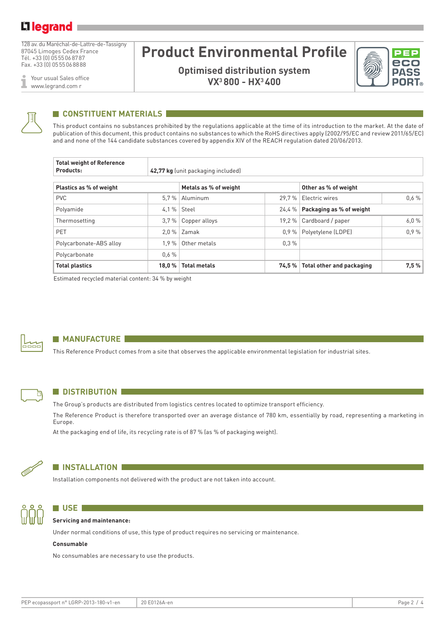128 av. du Maréchal-de-Lattre-de-Tassigny 87045 Limoges Cedex France Tél. +33 (0) 0555068787 Fax. +33 (0) 0555068888

Your usual Sales office ī www.legrand.com r

# **Product Environmental Profile**

**Optimised distribution system VX3 800 - HX3 400**





### **CONSTITUENT MATERIALS**

This product contains no substances prohibited by the regulations applicable at the time of its introduction to the market. At the date of publication of this document, this product contains no substances to which the RoHS directives apply (2002/95/EC and review 2011/65/EC) and and none of the 144 candidate substances covered by appendix XIV of the REACH regulation dated 20/06/2013.

| <b>Total weight of Reference</b><br>Products: |         |                       |       |                                  |      |  |
|-----------------------------------------------|---------|-----------------------|-------|----------------------------------|------|--|
| Plastics as % of weight                       |         | Metals as % of weight |       | Other as % of weight             |      |  |
| <b>PVC</b>                                    | 5.7%    | Aluminum              | 29.7% | Electric wires                   | 0.6% |  |
| 4.1%<br>Polyamide                             |         | Steel                 | 24.4% | Packaging as % of weight         |      |  |
| Thermosetting                                 | 3.7%    | Copper alloys         | 19.2% | Cardboard / paper                | 6.0% |  |
| <b>PET</b>                                    | $2.0\%$ | Zamak                 | 0.9%  | Polyetylene (LDPE)               | 0.9% |  |
| Polycarbonate-ABS alloy                       | 1.9%    | Other metals          | 0.3%  |                                  |      |  |
| Polycarbonate                                 | 0.6%    |                       |       |                                  |      |  |
| <b>Total plastics</b>                         | 18.0%   | <b>Total metals</b>   | 74.5% | <b>Total other and packaging</b> | 7,5% |  |

Estimated recycled material content: 34 % by weight



ħ

### **MANUFACTURE**

This Reference Product comes from a site that observes the applicable environmental legislation for industrial sites.

### **N** DISTRIBUTION

The Group's products are distributed from logistics centres located to optimize transport efficiency.

The Reference Product is therefore transported over an average distance of 780 km, essentially by road, representing a marketing in Europe.

At the packaging end of life, its recycling rate is of 87 % (as % of packaging weight).



### **N** INSTALLATION

Installation components not delivered with the product are not taken into account.



### **N** USE **I Servicing and maintenance:**

Under normal conditions of use, this type of product requires no servicing or maintenance.

#### **Consumable**

No consumables are necessary to use the products.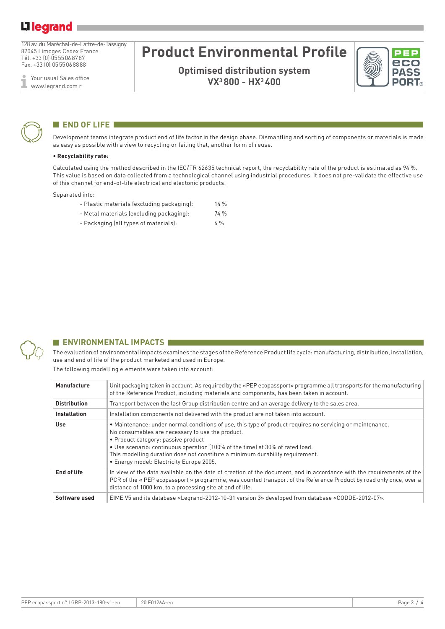128 av. du Maréchal-de-Lattre-de-Tassigny 87045 Limoges Cedex France Tél. +33 (0) 0555068787 Fax. +33 (0) 0555068888

Your usual Sales office I www.legrand.com r

# **Product Environmental Profile**

**Optimised distribution system VX3 800 - HX3 400**





#### **END OF LIFE I**

Development teams integrate product end of life factor in the design phase. Dismantling and sorting of components or materials is made as easy as possible with a view to recycling or failing that, another form of reuse.

#### **• Recyclability rate:**

Calculated using the method described in the IEC/TR 62635 technical report, the recyclability rate of the product is estimated as 94 %. This value is based on data collected from a technological channel using industrial procedures. It does not pre-validate the effective use of this channel for end-of-life electrical and electonic products.

Separated into:

- Plastic materials (excluding packaging): 14 %
- Metal materials (excluding packaging): 74 %
- Packaging (all types of materials): 6 %



### **ENVIRONMENTAL IMPACTS**

The evaluation of environmental impacts examines the stages of the Reference Product life cycle: manufacturing, distribution, installation, use and end of life of the product marketed and used in Europe.

The following modelling elements were taken into account:

| Manufacture         | Unit packaging taken in account. As required by the «PEP ecopassport» programme all transports for the manufacturing<br>of the Reference Product, including materials and components, has been taken in account.                                                                                                                                                                                                   |
|---------------------|--------------------------------------------------------------------------------------------------------------------------------------------------------------------------------------------------------------------------------------------------------------------------------------------------------------------------------------------------------------------------------------------------------------------|
| <b>Distribution</b> | Transport between the last Group distribution centre and an average delivery to the sales area.                                                                                                                                                                                                                                                                                                                    |
| <b>Installation</b> | Installation components not delivered with the product are not taken into account.                                                                                                                                                                                                                                                                                                                                 |
| <b>Use</b>          | • Maintenance: under normal conditions of use, this type of product requires no servicing or maintenance.<br>No consumables are necessary to use the product.<br>• Product category: passive product<br>• Use scenario: continuous operation (100% of the time) at 30% of rated load.<br>This modelling duration does not constitute a minimum durability requirement.<br>· Energy model: Electricity Europe 2005. |
| End of life         | In view of the data available on the date of creation of the document, and in accordance with the requirements of the<br>PCR of the « PEP ecopassport » programme, was counted transport of the Reference Product by road only once, over a<br>distance of 1000 km, to a processing site at end of life.                                                                                                           |
| Software used       | EIME V5 and its database «Legrand-2012-10-31 version 3» developed from database «CODDE-2012-07».                                                                                                                                                                                                                                                                                                                   |